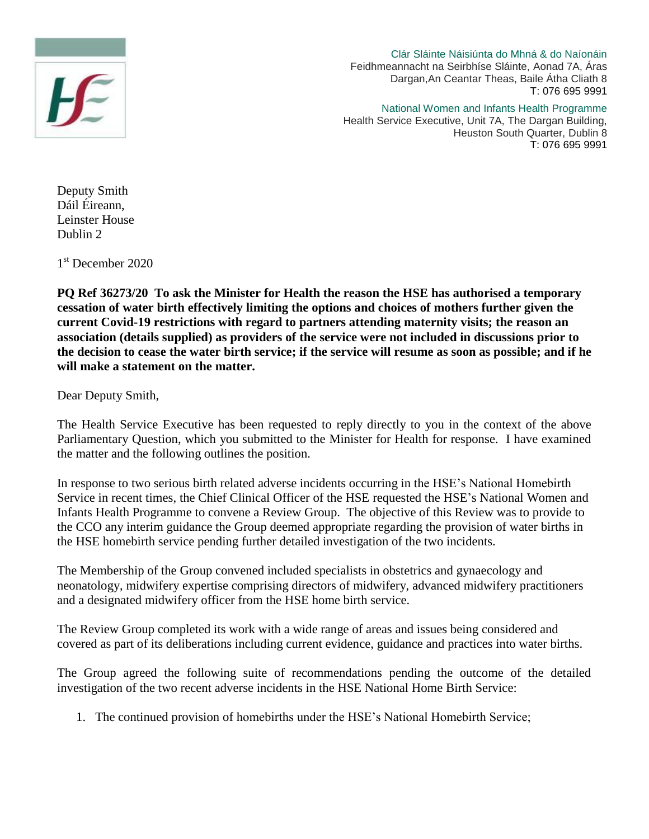

Clár Sláinte Náisiúnta do Mhná & do Naíonáin Feidhmeannacht na Seirbhíse Sláinte, Aonad 7A, Áras Dargan,An Ceantar Theas, Baile Átha Cliath 8 T: 076 695 9991

National Women and Infants Health Programme Health Service Executive, Unit 7A, The Dargan Building,

Heuston South Quarter, Dublin 8 T: 076 695 9991

Deputy Smith Dáil Éireann, Leinster House Dublin 2

1 st December 2020

**PQ Ref 36273/20 To ask the Minister for Health the reason the HSE has authorised a temporary cessation of water birth effectively limiting the options and choices of mothers further given the current Covid-19 restrictions with regard to partners attending maternity visits; the reason an association (details supplied) as providers of the service were not included in discussions prior to the decision to cease the water birth service; if the service will resume as soon as possible; and if he will make a statement on the matter.**

Dear Deputy Smith,

The Health Service Executive has been requested to reply directly to you in the context of the above Parliamentary Question, which you submitted to the Minister for Health for response. I have examined the matter and the following outlines the position.

In response to two serious birth related adverse incidents occurring in the HSE's National Homebirth Service in recent times, the Chief Clinical Officer of the HSE requested the HSE's National Women and Infants Health Programme to convene a Review Group. The objective of this Review was to provide to the CCO any interim guidance the Group deemed appropriate regarding the provision of water births in the HSE homebirth service pending further detailed investigation of the two incidents.

The Membership of the Group convened included specialists in obstetrics and gynaecology and neonatology, midwifery expertise comprising directors of midwifery, advanced midwifery practitioners and a designated midwifery officer from the HSE home birth service.

The Review Group completed its work with a wide range of areas and issues being considered and covered as part of its deliberations including current evidence, guidance and practices into water births.

The Group agreed the following suite of recommendations pending the outcome of the detailed investigation of the two recent adverse incidents in the HSE National Home Birth Service:

1. The continued provision of homebirths under the HSE's National Homebirth Service;